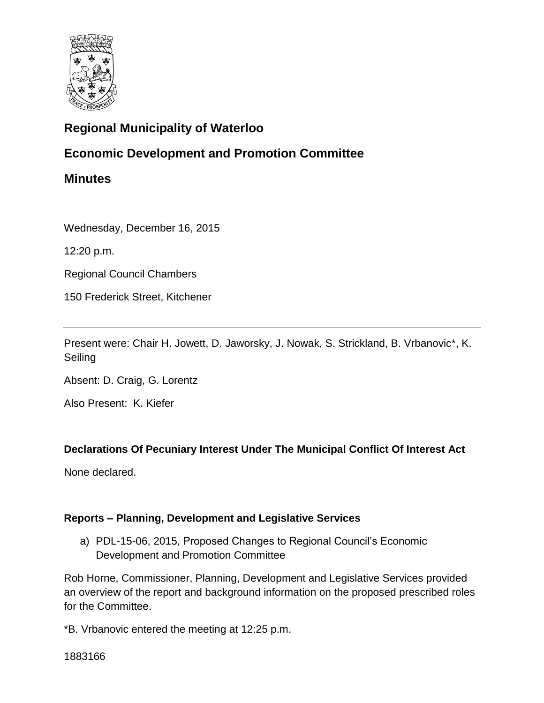

# **Regional Municipality of Waterloo**

## **Economic Development and Promotion Committee**

**Minutes**

Wednesday, December 16, 2015

12:20 p.m.

Regional Council Chambers

150 Frederick Street, Kitchener

Present were: Chair H. Jowett, D. Jaworsky, J. Nowak, S. Strickland, B. Vrbanovic\*, K. Seiling

Absent: D. Craig, G. Lorentz

Also Present: K. Kiefer

## **Declarations Of Pecuniary Interest Under The Municipal Conflict Of Interest Act**

None declared.

#### **Reports – Planning, Development and Legislative Services**

a) PDL-15-06, 2015, Proposed Changes to Regional Council's Economic Development and Promotion Committee

Rob Horne, Commissioner, Planning, Development and Legislative Services provided an overview of the report and background information on the proposed prescribed roles for the Committee.

\*B. Vrbanovic entered the meeting at 12:25 p.m.

1883166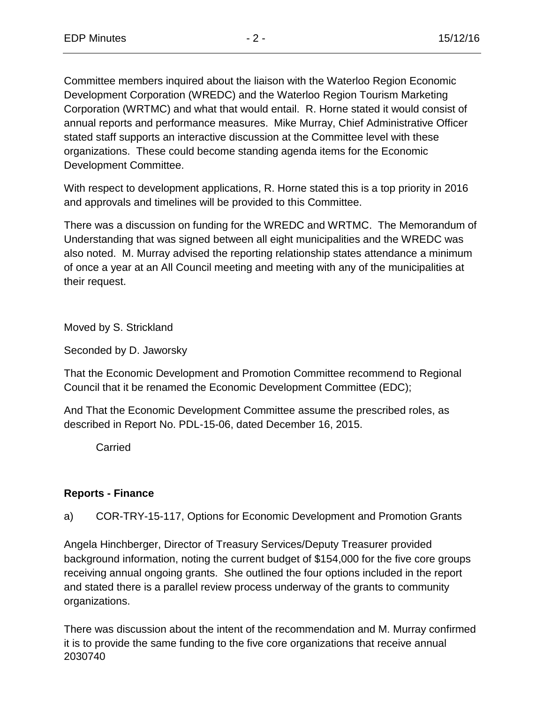Committee members inquired about the liaison with the Waterloo Region Economic Development Corporation (WREDC) and the Waterloo Region Tourism Marketing Corporation (WRTMC) and what that would entail. R. Horne stated it would consist of annual reports and performance measures. Mike Murray, Chief Administrative Officer stated staff supports an interactive discussion at the Committee level with these organizations. These could become standing agenda items for the Economic Development Committee.

With respect to development applications, R. Horne stated this is a top priority in 2016 and approvals and timelines will be provided to this Committee.

There was a discussion on funding for the WREDC and WRTMC. The Memorandum of Understanding that was signed between all eight municipalities and the WREDC was also noted. M. Murray advised the reporting relationship states attendance a minimum of once a year at an All Council meeting and meeting with any of the municipalities at their request.

Moved by S. Strickland

Seconded by D. Jaworsky

That the Economic Development and Promotion Committee recommend to Regional Council that it be renamed the Economic Development Committee (EDC);

And That the Economic Development Committee assume the prescribed roles, as described in Report No. PDL-15-06, dated December 16, 2015.

**Carried** 

#### **Reports - Finance**

a) COR-TRY-15-117, Options for Economic Development and Promotion Grants

Angela Hinchberger, Director of Treasury Services/Deputy Treasurer provided background information, noting the current budget of \$154,000 for the five core groups receiving annual ongoing grants. She outlined the four options included in the report and stated there is a parallel review process underway of the grants to community organizations.

2030740 There was discussion about the intent of the recommendation and M. Murray confirmed it is to provide the same funding to the five core organizations that receive annual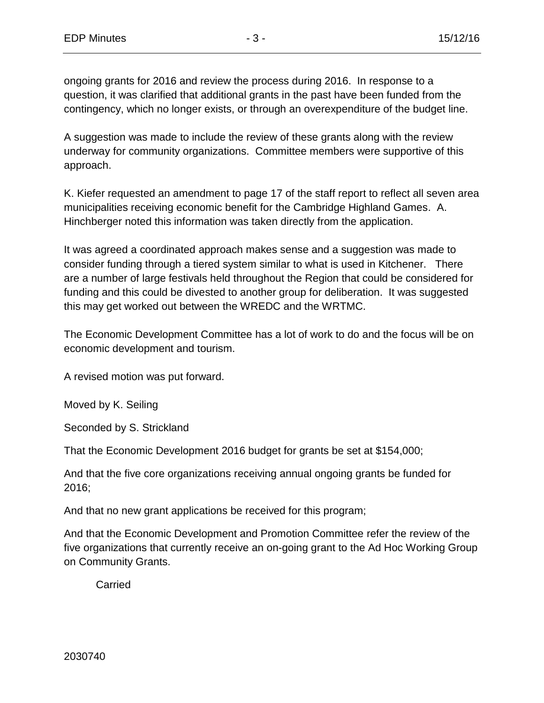ongoing grants for 2016 and review the process during 2016. In response to a question, it was clarified that additional grants in the past have been funded from the contingency, which no longer exists, or through an overexpenditure of the budget line.

A suggestion was made to include the review of these grants along with the review underway for community organizations. Committee members were supportive of this approach.

K. Kiefer requested an amendment to page 17 of the staff report to reflect all seven area municipalities receiving economic benefit for the Cambridge Highland Games. A. Hinchberger noted this information was taken directly from the application.

It was agreed a coordinated approach makes sense and a suggestion was made to consider funding through a tiered system similar to what is used in Kitchener. There are a number of large festivals held throughout the Region that could be considered for funding and this could be divested to another group for deliberation. It was suggested this may get worked out between the WREDC and the WRTMC.

The Economic Development Committee has a lot of work to do and the focus will be on economic development and tourism.

A revised motion was put forward.

Moved by K. Seiling

Seconded by S. Strickland

That the Economic Development 2016 budget for grants be set at \$154,000;

And that the five core organizations receiving annual ongoing grants be funded for 2016;

And that no new grant applications be received for this program;

And that the Economic Development and Promotion Committee refer the review of the five organizations that currently receive an on-going grant to the Ad Hoc Working Group on Community Grants.

**Carried**